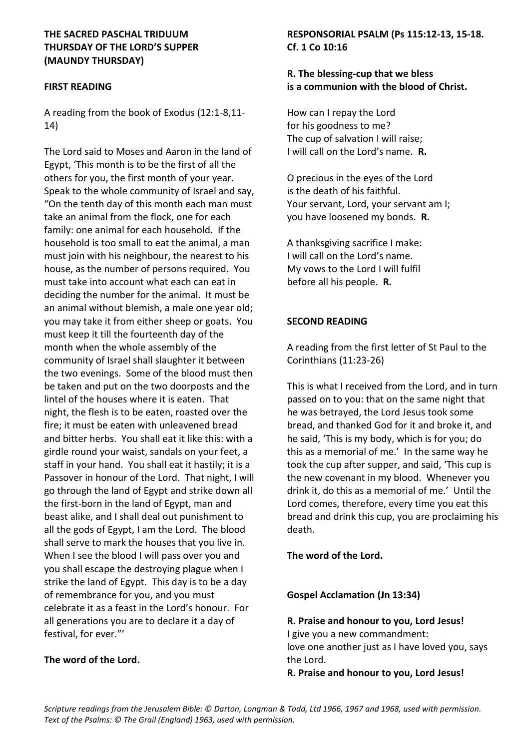## **THE SACRED PASCHAL TRIDUUM THURSDAY OF THE LORD'S SUPPER (MAUNDY THURSDAY)**

#### **FIRST READING**

A reading from the book of Exodus (12:1-8,11- 14)

The Lord said to Moses and Aaron in the land of Egypt, 'This month is to be the first of all the others for you, the first month of your year. Speak to the whole community of Israel and say, "On the tenth day of this month each man must take an animal from the flock, one for each family: one animal for each household. If the household is too small to eat the animal, a man must join with his neighbour, the nearest to his house, as the number of persons required. You must take into account what each can eat in deciding the number for the animal. It must be an animal without blemish, a male one year old; you may take it from either sheep or goats. You must keep it till the fourteenth day of the month when the whole assembly of the community of Israel shall slaughter it between the two evenings. Some of the blood must then be taken and put on the two doorposts and the lintel of the houses where it is eaten. That night, the flesh is to be eaten, roasted over the fire; it must be eaten with unleavened bread and bitter herbs. You shall eat it like this: with a girdle round your waist, sandals on your feet, a staff in your hand. You shall eat it hastily; it is a Passover in honour of the Lord. That night, I will go through the land of Egypt and strike down all the first-born in the land of Egypt, man and beast alike, and I shall deal out punishment to all the gods of Egypt, I am the Lord. The blood shall serve to mark the houses that you live in. When I see the blood I will pass over you and you shall escape the destroying plague when I strike the land of Egypt. This day is to be a day of remembrance for you, and you must celebrate it as a feast in the Lord's honour. For all generations you are to declare it a day of festival, for ever."'

### **The word of the Lord.**

# **RESPONSORIAL PSALM (Ps 115:12-13, 15-18. Cf. 1 Co 10:16**

# **R. The blessing-cup that we bless is a communion with the blood of Christ.**

How can I repay the Lord for his goodness to me? The cup of salvation I will raise; I will call on the Lord's name. **R.**

O precious in the eyes of the Lord is the death of his faithful. Your servant, Lord, your servant am I; you have loosened my bonds. **R.**

A thanksgiving sacrifice I make: I will call on the Lord's name. My vows to the Lord I will fulfil before all his people. **R.**

### **SECOND READING**

A reading from the first letter of St Paul to the Corinthians (11:23-26)

This is what I received from the Lord, and in turn passed on to you: that on the same night that he was betrayed, the Lord Jesus took some bread, and thanked God for it and broke it, and he said, 'This is my body, which is for you; do this as a memorial of me.' In the same way he took the cup after supper, and said, 'This cup is the new covenant in my blood. Whenever you drink it, do this as a memorial of me.' Until the Lord comes, therefore, every time you eat this bread and drink this cup, you are proclaiming his death.

**The word of the Lord.**

**Gospel Acclamation (Jn 13:34)**

**R. Praise and honour to you, Lord Jesus!** I give you a new commandment: love one another just as I have loved you, says the Lord.

**R. Praise and honour to you, Lord Jesus!**